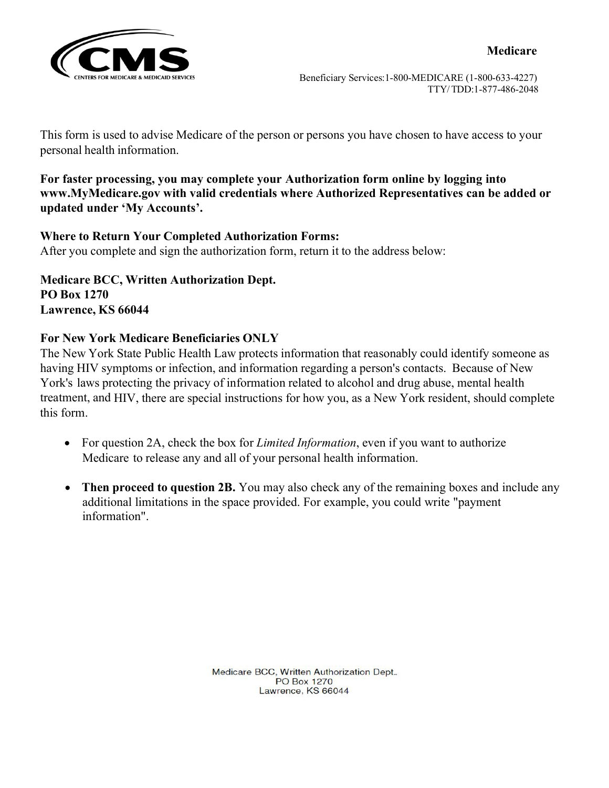

This form is used to advise Medicare of the person or persons you have chosen to have access to your personal health information.

**For faster processing, you may complete your Authorization form online by logging into www.MyMedicare.gov with valid credentials where Authorized Representatives can be added or updated under 'My Accounts'.** 

## **Where to Return Your Completed Authorization Forms:**

After you complete and sign the authorization form, return it to the address below:

**Medicare BCC, Written Authorization Dept. PO Box 1270 Lawrence, KS 66044**

### **For New York Medicare Beneficiaries ONLY**

The New York State Public Health Law protects information that reasonably could identify someone as having HIV symptoms or infection, and information regarding a person's contacts. Because of New York's laws protecting the privacy of information related to alcohol and drug abuse, mental health treatment, and HIV, there are special instructions for how you, as a New York resident, should complete this form.

- For question 2A, check the box for *Limited Information*, even if you want to authorize Medicare to release any and all of your personal health information.
- **Then proceed to question 2B.** You may also check any of the remaining boxes and include any additional limitations in the space provided. For example, you could write "payment information".

Medicare BCC, Written Authorization Dept.. **PO Box 1270** Lawrence, KS 66044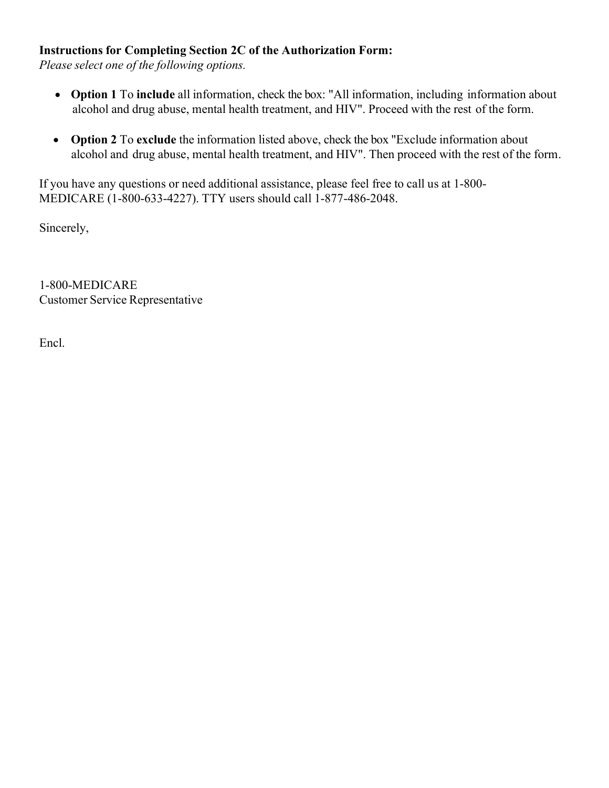# **Instructions for Completing Section 2C of the Authorization Form:**

*Please select one of the following options.*

- **Option 1** To **include** all information, check the box: "All information, including information about alcohol and drug abuse, mental health treatment, and HIV". Proceed with the rest of the form.
- **Option 2** To **exclude** the information listed above, check the box "Exclude information about alcohol and drug abuse, mental health treatment, and HIV". Then proceed with the rest of the form.

If you have any questions or need additional assistance, please feel free to call us at 1-800- MEDICARE (1-800-633-4227). TTY users should call 1-877-486-2048.

Sincerely,

1-800-MEDICARE Customer Service Representative

Encl.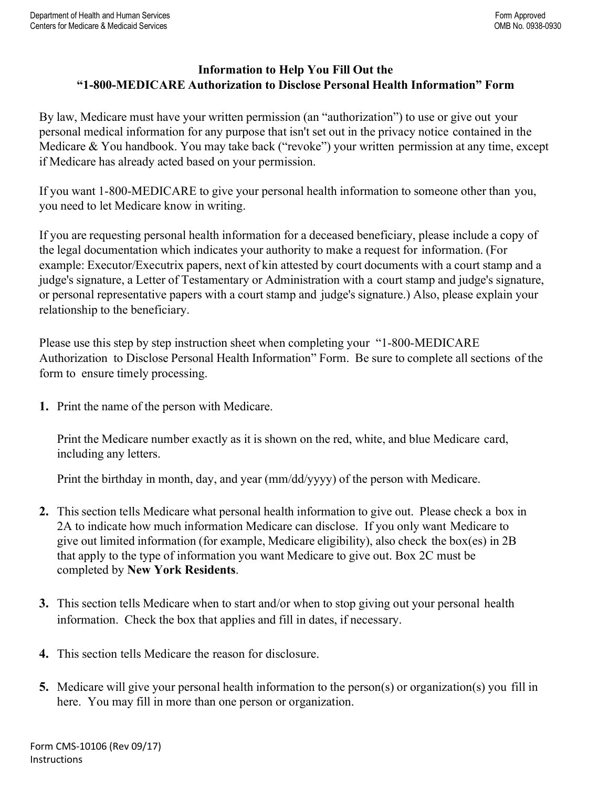# **Information to Help You Fill Out the "1-800-MEDICARE Authorization to Disclose Personal Health Information" Form**

By law, Medicare must have your written permission (an "authorization") to use or give out your personal medical information for any purpose that isn't set out in the privacy notice contained in the Medicare & You handbook. You may take back ("revoke") your written permission at any time, except if Medicare has already acted based on your permission.

If you want 1-800-MEDICARE to give your personal health information to someone other than you, you need to let Medicare know in writing.

If you are requesting personal health information for a deceased beneficiary, please include a copy of the legal documentation which indicates your authority to make a request for information. (For example: Executor/Executrix papers, next of kin attested by court documents with a court stamp and a judge's signature, a Letter of Testamentary or Administration with a court stamp and judge's signature, or personal representative papers with a court stamp and judge's signature.) Also, please explain your relationship to the beneficiary.

Please use this step by step instruction sheet when completing your "1-800-MEDICARE Authorization to Disclose Personal Health Information" Form. Be sure to complete all sections of the form to ensure timely processing.

**1.** Print the name of the person with Medicare.

Print the Medicare number exactly as it is shown on the red, white, and blue Medicare card, including any letters.

Print the birthday in month, day, and year (mm/dd/yyyy) of the person with Medicare.

- **2.** This section tells Medicare what personal health information to give out. Please check a box in 2A to indicate how much information Medicare can disclose. If you only want Medicare to give out limited information (for example, Medicare eligibility), also check the box(es) in 2B that apply to the type of information you want Medicare to give out. Box 2C must be completed by **New York Residents**.
- **3.** This section tells Medicare when to start and/or when to stop giving out your personal health information. Check the box that applies and fill in dates, if necessary.
- **4.** This section tells Medicare the reason for disclosure.
- **5.** Medicare will give your personal health information to the person(s) or organization(s) you fill in here. You may fill in more than one person or organization.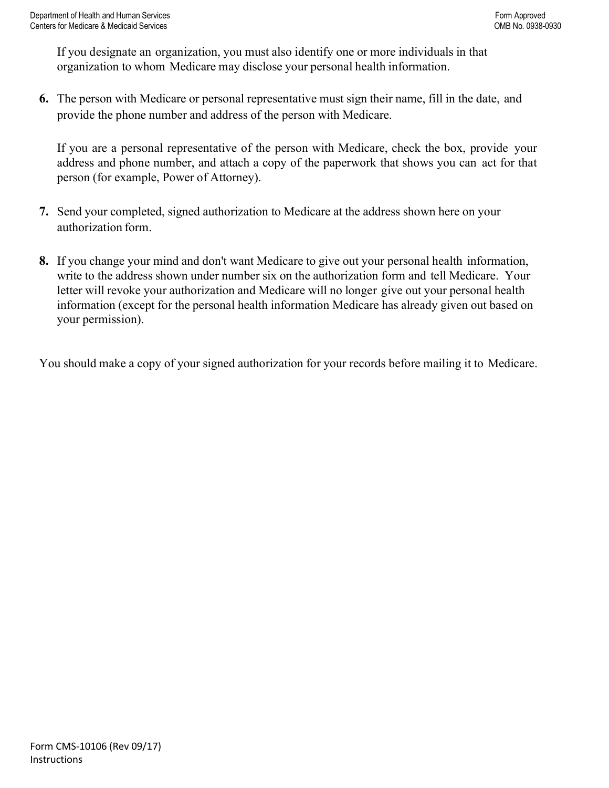If you designate an organization, you must also identify one or more individuals in that organization to whom Medicare may disclose your personal health information.

**6.** The person with Medicare or personal representative must sign their name, fill in the date, and provide the phone number and address of the person with Medicare.

If you are a personal representative of the person with Medicare, check the box, provide your address and phone number, and attach a copy of the paperwork that shows you can act for that person (for example, Power of Attorney).

- **7.** Send your completed, signed authorization to Medicare at the address shown here on your authorization form.
- **8.** If you change your mind and don't want Medicare to give out your personal health information, write to the address shown under number six on the authorization form and tell Medicare. Your letter will revoke your authorization and Medicare will no longer give out your personal health information (except for the personal health information Medicare has already given out based on your permission).

You should make a copy of your signed authorization for your records before mailing it to Medicare.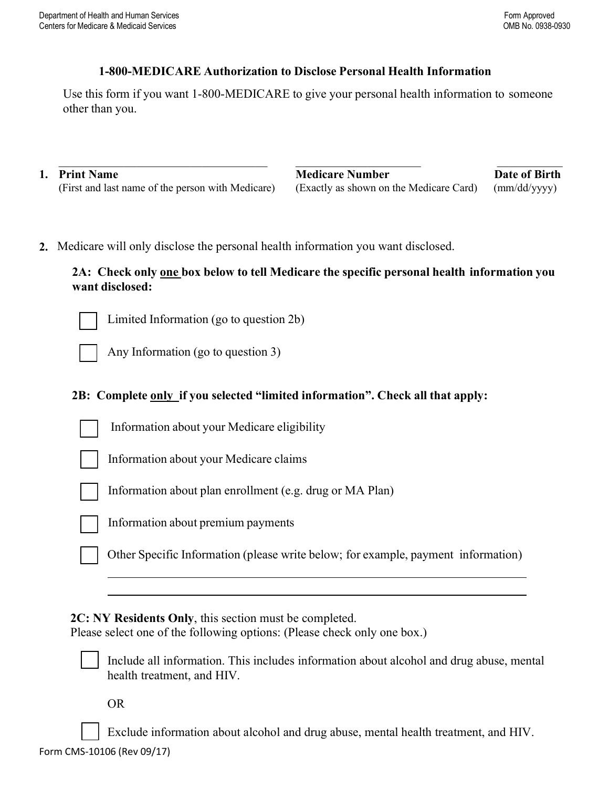### **1-800-MEDICARE Authorization to Disclose Personal Health Information**

Use this form if you want 1-800-MEDICARE to give your personal health information to someone other than you.

**1. Print Name** (First and last name of the person with Medicare)

 $\mathcal{L}_\text{max} = \frac{1}{2} \sum_{i=1}^n \mathcal{L}_\text{max}(\mathbf{z}_i - \mathbf{z}_i)$ **Medicare Number**  (Exactly as shown on the Medicare Card)

 **Date of Birth**  (mm/dd/yyyy)

**2.** Medicare will only disclose the personal health information you want disclosed.

## **2A: Check only one box below to tell Medicare the specific personal health information you want disclosed:**



Limited Information (go to question 2b)

Any Information (go to question 3)

## **2B: Complete only if you selected "limited information". Check all that apply:**



Information about your Medicare eligibility



Information about your Medicare claims

Information about plan enrollment (e.g. drug or MA Plan)



Information about premium payments

Other Specific Information (please write below; for example, payment information)

**2C: NY Residents Only**, this section must be completed.

Please select one of the following options: (Please check only one box.)



OR

Form CMS-10106 (Rev 09/17) Exclude information about alcohol and drug abuse, mental health treatment, and HIV.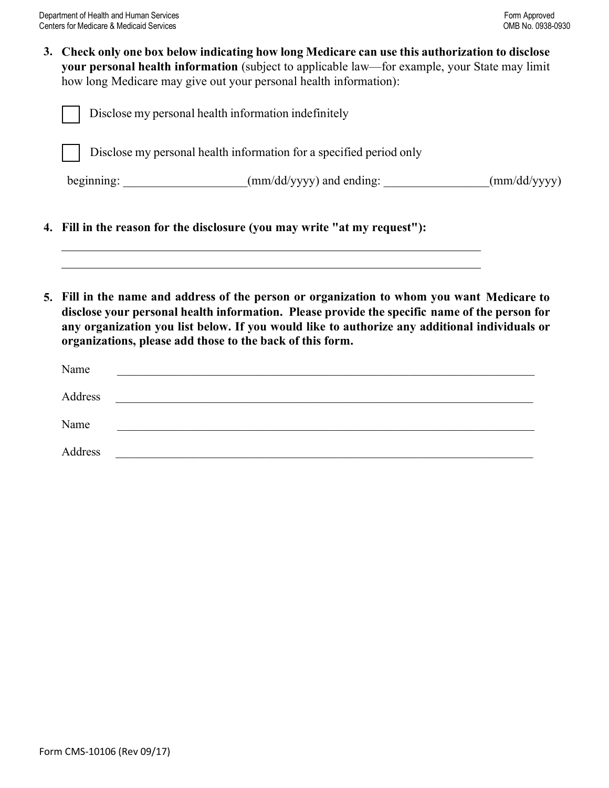l

**3. Check only one box below indicating how long Medicare can use this authorization to disclose your personal health information** (subject to applicable law—for example, your State may limit how long Medicare may give out your personal health information):

|            | Disclose my personal health information indefinitely                      |                       |
|------------|---------------------------------------------------------------------------|-----------------------|
|            | Disclose my personal health information for a specified period only       |                       |
| beginning: | $\frac{mm}{dd/yyyy}$ and ending:                                          | $\text{(mm/dd/yyyy)}$ |
|            | 4. Fill in the reason for the disclosure (you may write "at my request"): |                       |

**5. Fill in the name and address of the person or organization to whom you want Medicare to disclose your personal health information. Please provide the specific name of the person for any organization you list below. If you would like to authorize any additional individuals or organizations, please add those to the back of this form.**

| Name    |  |
|---------|--|
| Address |  |
| Name    |  |
| Address |  |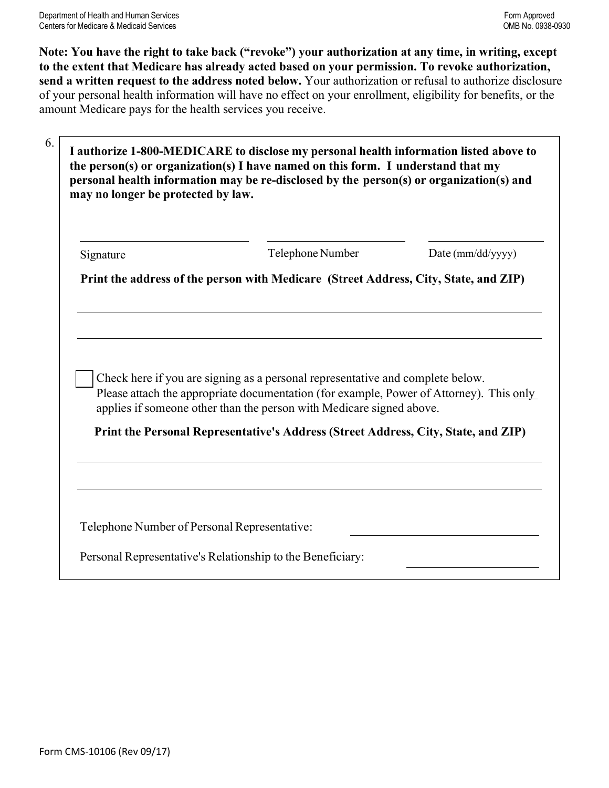**Note: You have the right to take back ("revoke") your authorization at any time, in writing, except to the extent that Medicare has already acted based on your permission. To revoke authorization, send a written request to the address noted below.** Your authorization or refusal to authorize disclosure of your personal health information will have no effect on your enrollment, eligibility for benefits, or the amount Medicare pays for the health services you receive.

| Print the address of the person with Medicare (Street Address, City, State, and ZIP)                                                                                      |  |
|---------------------------------------------------------------------------------------------------------------------------------------------------------------------------|--|
|                                                                                                                                                                           |  |
|                                                                                                                                                                           |  |
|                                                                                                                                                                           |  |
|                                                                                                                                                                           |  |
|                                                                                                                                                                           |  |
|                                                                                                                                                                           |  |
| Check here if you are signing as a personal representative and complete below.<br>Please attach the appropriate documentation (for example, Power of Attorney). This only |  |
| applies if someone other than the person with Medicare signed above.                                                                                                      |  |
|                                                                                                                                                                           |  |
|                                                                                                                                                                           |  |
| Print the Personal Representative's Address (Street Address, City, State, and ZIP)                                                                                        |  |
|                                                                                                                                                                           |  |
|                                                                                                                                                                           |  |
|                                                                                                                                                                           |  |
|                                                                                                                                                                           |  |
|                                                                                                                                                                           |  |
|                                                                                                                                                                           |  |
|                                                                                                                                                                           |  |
|                                                                                                                                                                           |  |